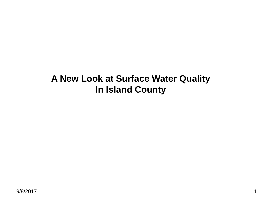# **A New Look at Surface Water Quality In Island County**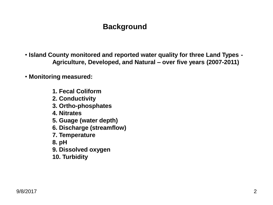## **Background**

- **Island County monitored and reported water quality for three Land Types - Agriculture, Developed, and Natural – over five years (2007-2011)**
- **Monitoring measured:**
	- **1. Fecal Coliform**
	- **2. Conductivity**
	- **3. Ortho-phosphates**
	- **4. Nitrates**
	- **5. Guage (water depth)**
	- **6. Discharge (streamflow)**
	- **7. Temperature**
	- **8. pH**
	- **9. Dissolved oxygen**
	- **10. Turbidity**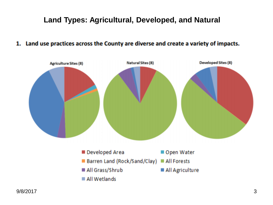## **Land Types: Agricultural, Developed, and Natural**

#### 1. Land use practices across the County are diverse and create a variety of impacts.

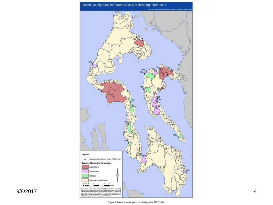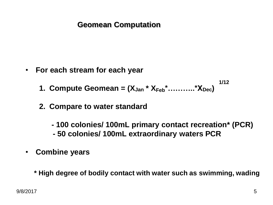#### **Geomean Computation**

• **For each stream for each year**

**1. Compute Geomean =**  $(X_{Jan} * X_{Feb} * \ldots * X_{Dec})$ **1/12**

- **2. Compare to water standard**
	- **- 100 colonies/ 100mL primary contact recreation\* (PCR)**
	- **- 50 colonies/ 100mL extraordinary waters PCR**
- **Combine years**
	- **\* High degree of bodily contact with water such as swimming, wading**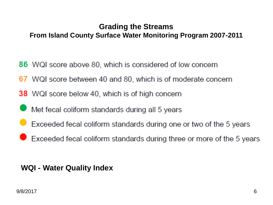#### **Grading the Streams From Island County Surface Water Monitoring Program 2007-2011**

- 86 WQI score above 80, which is considered of low concern
- 67 WQI score between 40 and 80, which is of moderate concern
- **38** WQI score below 40, which is of high concern
- Met fecal coliform standards during all 5 years
- Exceeded fecal coliform standards during one or two of the 5 years
- Exceeded fecal coliform standards during three or more of the 5 years

#### **WQI - Water Quality Index**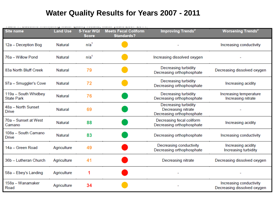#### **Water Quality Results for Years 2007 - 2011**

| <b>Site name</b>                          | <b>Land Use</b> | 5-Year WQI<br><b>Score</b> | <b>Meets Fecal Coliform</b><br><b>Standards?</b> | Improving Trends <sup>2</sup>                                           | <b>Worsening Trends<sup>2</sup></b>                    |
|-------------------------------------------|-----------------|----------------------------|--------------------------------------------------|-------------------------------------------------------------------------|--------------------------------------------------------|
| 12a - Deception Bog                       | Natural         | n/a <sup>1</sup>           |                                                  |                                                                         | Increasing conductivity                                |
| 76a - Willow Pond                         | <b>Natural</b>  | n/a <sup>1</sup>           |                                                  | Increasing dissolved oxygen                                             |                                                        |
| 83a North Bluff Creek                     | Natural         | 79                         |                                                  | Decreasing turbidity<br>Decreasing orthophosphate                       | Decreasing dissolved oxygen                            |
| 97a - Smuggler's Cove                     | Natural         | 72                         |                                                  | Decreasing turbidity<br>Decreasing orthophosphate                       | Increasing acidity                                     |
| 119a - South Whidbey<br><b>State Park</b> | <b>Natural</b>  | 76                         |                                                  | Decreasing turbidity<br>Decreasing orthophosphate                       | Increasing temperature<br>Increasing nitrate           |
| 48a - North Sunset<br>Drive               | <b>Natural</b>  | 69                         |                                                  | Decreasing turbidity<br>Decreasing nitrate<br>Decreasing orthophosphate |                                                        |
| 70a - Sunset at West<br>Camano            | <b>Natural</b>  | 88                         |                                                  | Decreasing fecal coliform<br>Decreasing orthophosphate                  | Increasing acidity                                     |
| 108a - South Camano<br><b>Drive</b>       | <b>Natural</b>  | 83                         |                                                  | Decreasing orthophosphate                                               | Increasing conductivity                                |
| 14a - Green Road                          | Agriculture     | 49                         |                                                  | Decreasing conductivity<br>Decreasing orthophosphate                    | Increasing acidity<br>Increasing turbidity             |
| 36b - Lutheran Church                     | Agriculture     | 41                         |                                                  | Decreasing nitrate                                                      | Decreasing dissolved oxygen                            |
| 58a - Ebey's Landing                      | Agriculture     |                            |                                                  |                                                                         |                                                        |
| 158a - Wanamaker<br>Road                  | Agriculture     | 34                         |                                                  |                                                                         | Increasing conductivity<br>Decreasing dissolved oxygen |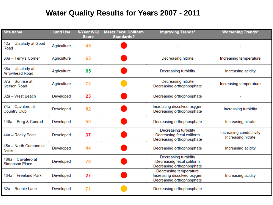#### **Water Quality Results for Years 2007 - 2011**

| <b>Site name</b>                            | <b>Land Use</b> | 5-Year WQI<br><b>Score</b> | <b>Meets Fecal Coliform</b><br><b>Standards?</b> | Improving Trends <sup>2</sup>                                                         | Worsening Trends <sup>2</sup>                 |
|---------------------------------------------|-----------------|----------------------------|--------------------------------------------------|---------------------------------------------------------------------------------------|-----------------------------------------------|
| 42a - Utsalady at Good<br>Road              | Agriculture     | 45                         |                                                  |                                                                                       |                                               |
| 36a - Terry's Corner                        | Agriculture     | 63                         |                                                  | Decreasing nitrate                                                                    | Increasing temperature                        |
| 38a - Utsalady at<br><b>Arrowhead Road</b>  | Agriculture     | 85                         |                                                  | Decreasing turbidity                                                                  | Increasing acidity                            |
| 67a - Sunrise at<br><b>Iverson Road</b>     | Agriculture     | 72                         |                                                  | Decreasing nitrate<br>Decreasing orthophosphate                                       | Increasing temperature                        |
| 32a - West Beach                            | Developed       | 23                         |                                                  | Decreasing orthophosphate                                                             |                                               |
| 74a - Cavalero at<br><b>Country Club</b>    | Developed       | 62                         |                                                  | Increasing dissolved oxygen<br>Decreasing orthophosphate                              | Increasing turbidity                          |
| 148a - Berg & Conrad                        | Developed       | 50                         |                                                  | Decreasing orthophosphate                                                             | Increasing nitrate                            |
| 44a - Rocky Point                           | Developed       | 37                         |                                                  | <b>Decreasing turbidity</b><br>Decreasing fecal coliform<br>Decreasing orthophosphate | Increasing conductivity<br>Increasing nitrate |
| 45a - North Camano at<br><b>Nellie</b>      | Developed       | 44                         |                                                  | Decreasing orthophosphate                                                             | Increasing acidity                            |
| 188a - Cavalero at<br><b>Simonson Place</b> | Developed       | 72                         |                                                  | <b>Decreasing turbidity</b><br>Decreasing fecal coliform<br>Decreasing orthophosphate |                                               |
| 134a - Freeland Park                        | Developed       | 27                         |                                                  | Decreasing temperature<br>Increasing dissolved oxygen<br>Decreasing orthophosphate    | Increasing acidity                            |
| 82a - Bonnie Lane                           | Developed       | 71                         |                                                  | Decreasing orthophosphate                                                             |                                               |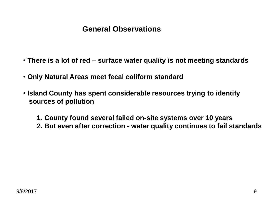#### **General Observations**

- **There is a lot of red – surface water quality is not meeting standards**
- **Only Natural Areas meet fecal coliform standard**
- **Island County has spent considerable resources trying to identify sources of pollution**

**1. County found several failed on-site systems over 10 years**

**2. But even after correction - water quality continues to fail standards**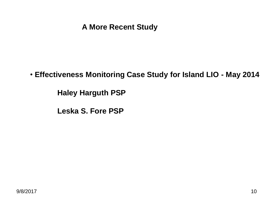#### **A More Recent Study**

• **Effectiveness Monitoring Case Study for Island LIO - May 2014**

**Haley Harguth PSP**

**Leska S. Fore PSP**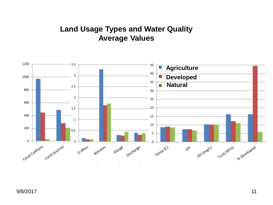#### **Land Usage Types and Water Quality Average Values**

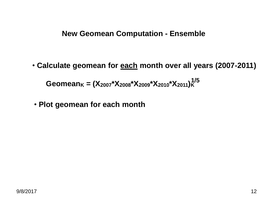**New Geomean Computation - Ensemble**

• **Calculate geomean for each month over all years (2007-2011)**

**Geomean<sup>K</sup> = (X2007\*X2008\*X2009\*X2010\*X2011)<sup>K</sup> 1/5**

• **Plot geomean for each month**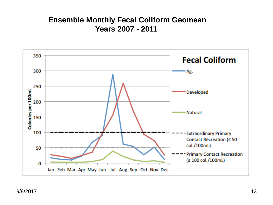#### **Ensemble Monthly Fecal Coliform Geomean Years 2007 - 2011**

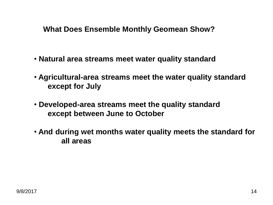#### **What Does Ensemble Monthly Geomean Show?**

- **Natural area streams meet water quality standard**
- **Agricultural-area streams meet the water quality standard except for July**
- **Developed-area streams meet the quality standard except between June to October**
- **And during wet months water quality meets the standard for all areas**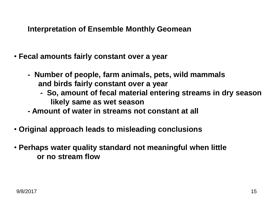**Interpretation of Ensemble Monthly Geomean**

- **Fecal amounts fairly constant over a year**
	- **Number of people, farm animals, pets, wild mammals and birds fairly constant over a year**
		- **So, amount of fecal material entering streams in dry season likely same as wet season**
	- **- Amount of water in streams not constant at all**
- **Original approach leads to misleading conclusions**
- **Perhaps water quality standard not meaningful when little or no stream flow**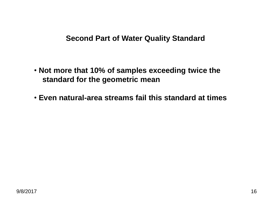#### **Second Part of Water Quality Standard**

- **Not more that 10% of samples exceeding twice the standard for the geometric mean**
- **Even natural-area streams fail this standard at times**